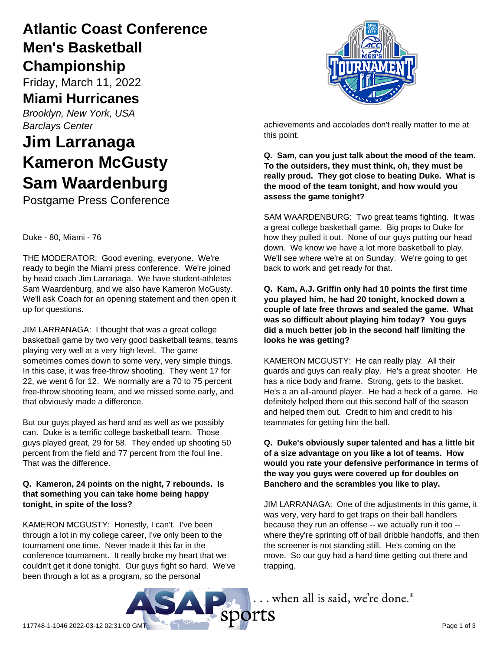## **Atlantic Coast Conference Men's Basketball Championship**

Friday, March 11, 2022

### **Miami Hurricanes**

*Brooklyn, New York, USA Barclays Center*

# **Jim Larranaga Kameron McGusty Sam Waardenburg**

Postgame Press Conference

#### Duke - 80, Miami - 76

THE MODERATOR: Good evening, everyone. We're ready to begin the Miami press conference. We're joined by head coach Jim Larranaga. We have student-athletes Sam Waardenburg, and we also have Kameron McGusty. We'll ask Coach for an opening statement and then open it up for questions.

JIM LARRANAGA: I thought that was a great college basketball game by two very good basketball teams, teams playing very well at a very high level. The game sometimes comes down to some very, very simple things. In this case, it was free-throw shooting. They went 17 for 22, we went 6 for 12. We normally are a 70 to 75 percent free-throw shooting team, and we missed some early, and that obviously made a difference.

But our guys played as hard and as well as we possibly can. Duke is a terrific college basketball team. Those guys played great, 29 for 58. They ended up shooting 50 percent from the field and 77 percent from the foul line. That was the difference.

#### **Q. Kameron, 24 points on the night, 7 rebounds. Is that something you can take home being happy tonight, in spite of the loss?**

KAMERON MCGUSTY: Honestly, I can't. I've been through a lot in my college career, I've only been to the tournament one time. Never made it this far in the conference tournament. It really broke my heart that we couldn't get it done tonight. Our guys fight so hard. We've been through a lot as a program, so the personal



achievements and accolades don't really matter to me at this point.

**Q. Sam, can you just talk about the mood of the team. To the outsiders, they must think, oh, they must be really proud. They got close to beating Duke. What is the mood of the team tonight, and how would you assess the game tonight?**

SAM WAARDENBURG: Two great teams fighting. It was a great college basketball game. Big props to Duke for how they pulled it out. None of our guys putting our head down. We know we have a lot more basketball to play. We'll see where we're at on Sunday. We're going to get back to work and get ready for that.

**Q. Kam, A.J. Griffin only had 10 points the first time you played him, he had 20 tonight, knocked down a couple of late free throws and sealed the game. What was so difficult about playing him today? You guys did a much better job in the second half limiting the looks he was getting?**

KAMERON MCGUSTY: He can really play. All their guards and guys can really play. He's a great shooter. He has a nice body and frame. Strong, gets to the basket. He's a an all-around player. He had a heck of a game. He definitely helped them out this second half of the season and helped them out. Credit to him and credit to his teammates for getting him the ball.

#### **Q. Duke's obviously super talented and has a little bit of a size advantage on you like a lot of teams. How would you rate your defensive performance in terms of the way you guys were covered up for doubles on Banchero and the scrambles you like to play.**

JIM LARRANAGA: One of the adjustments in this game, it was very, very hard to get traps on their ball handlers because they run an offense -- we actually run it too - where they're sprinting off of ball dribble handoffs, and then the screener is not standing still. He's coming on the move. So our guy had a hard time getting out there and trapping.

... when all is said, we're done.®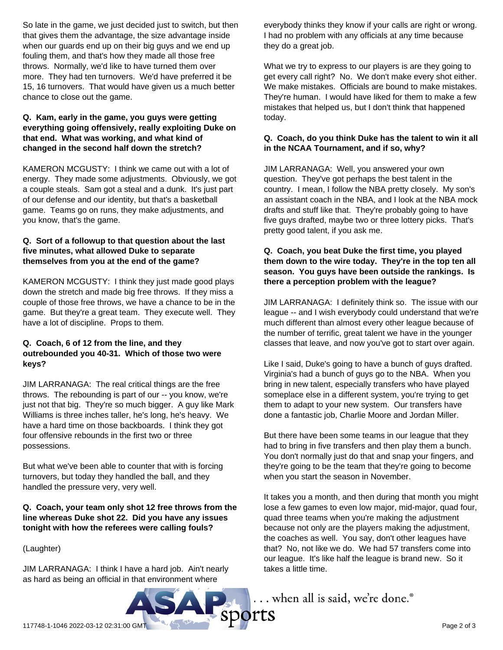So late in the game, we just decided just to switch, but then that gives them the advantage, the size advantage inside when our guards end up on their big guys and we end up fouling them, and that's how they made all those free throws. Normally, we'd like to have turned them over more. They had ten turnovers. We'd have preferred it be 15, 16 turnovers. That would have given us a much better chance to close out the game.

#### **Q. Kam, early in the game, you guys were getting everything going offensively, really exploiting Duke on that end. What was working, and what kind of changed in the second half down the stretch?**

KAMERON MCGUSTY: I think we came out with a lot of energy. They made some adjustments. Obviously, we got a couple steals. Sam got a steal and a dunk. It's just part of our defense and our identity, but that's a basketball game. Teams go on runs, they make adjustments, and you know, that's the game.

#### **Q. Sort of a followup to that question about the last five minutes, what allowed Duke to separate themselves from you at the end of the game?**

KAMERON MCGUSTY: I think they just made good plays down the stretch and made big free throws. If they miss a couple of those free throws, we have a chance to be in the game. But they're a great team. They execute well. They have a lot of discipline. Props to them.

#### **Q. Coach, 6 of 12 from the line, and they outrebounded you 40-31. Which of those two were keys?**

JIM LARRANAGA: The real critical things are the free throws. The rebounding is part of our -- you know, we're just not that big. They're so much bigger. A guy like Mark Williams is three inches taller, he's long, he's heavy. We have a hard time on those backboards. I think they got four offensive rebounds in the first two or three possessions.

But what we've been able to counter that with is forcing turnovers, but today they handled the ball, and they handled the pressure very, very well.

#### **Q. Coach, your team only shot 12 free throws from the line whereas Duke shot 22. Did you have any issues tonight with how the referees were calling fouls?**

(Laughter)

JIM LARRANAGA: I think I have a hard job. Ain't nearly as hard as being an official in that environment where

everybody thinks they know if your calls are right or wrong. I had no problem with any officials at any time because they do a great job.

What we try to express to our players is are they going to get every call right? No. We don't make every shot either. We make mistakes. Officials are bound to make mistakes. They're human. I would have liked for them to make a few mistakes that helped us, but I don't think that happened today.

#### **Q. Coach, do you think Duke has the talent to win it all in the NCAA Tournament, and if so, why?**

JIM LARRANAGA: Well, you answered your own question. They've got perhaps the best talent in the country. I mean, I follow the NBA pretty closely. My son's an assistant coach in the NBA, and I look at the NBA mock drafts and stuff like that. They're probably going to have five guys drafted, maybe two or three lottery picks. That's pretty good talent, if you ask me.

#### **Q. Coach, you beat Duke the first time, you played them down to the wire today. They're in the top ten all season. You guys have been outside the rankings. Is there a perception problem with the league?**

JIM LARRANAGA: I definitely think so. The issue with our league -- and I wish everybody could understand that we're much different than almost every other league because of the number of terrific, great talent we have in the younger classes that leave, and now you've got to start over again.

Like I said, Duke's going to have a bunch of guys drafted. Virginia's had a bunch of guys go to the NBA. When you bring in new talent, especially transfers who have played someplace else in a different system, you're trying to get them to adapt to your new system. Our transfers have done a fantastic job, Charlie Moore and Jordan Miller.

But there have been some teams in our league that they had to bring in five transfers and then play them a bunch. You don't normally just do that and snap your fingers, and they're going to be the team that they're going to become when you start the season in November.

It takes you a month, and then during that month you might lose a few games to even low major, mid-major, quad four, quad three teams when you're making the adjustment because not only are the players making the adjustment, the coaches as well. You say, don't other leagues have that? No, not like we do. We had 57 transfers come into our league. It's like half the league is brand new. So it takes a little time.

... when all is said, we're done.®